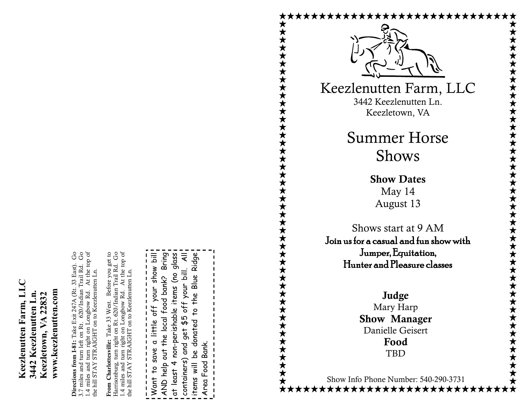**Directions from I-81:** Take Exit 247A (Rt. 33 East). Go 3.7 miles and turn left on Rt. 620/Indian Trail Rd. Go 1.4 miles and turn right on Longbow Rd. At the top of  $\rm G$ At the top of **Directions from 1-81:** Take Exit 247A (Rt. 33 East).<br>  $\therefore$  7 miles and turn left on Rt. 620/Indian Trail Rd. STRAIGHT on to Keezlenutten Ln. the hill STAY STRAIGHT on to Keezlenutten Ln. tum right on Longbow Rd. Directions from I-81: the hill STAY .4 miles and

**From Charlottesville:** Take 33 West. Before you get to Harrisonburg, turn right on Rt. 620/Indian Trail Rd. Go 1.4 miles and turn right on Longbow Rd. At the top of From Charlottesville: Take 33 West. Before you get to<br>Harrisonburg, turn right on Rt. 620/Indian Trail Rd. Go At the top of STRAIGHT on to Keezlenutten Ln. the hill STAY STRAIGHT on to Keezlenutten Ln. tum right on Longbow Rd. 1.4 miles and t<br>the hill STAY 9

Want to save a little off your show bill Bring AND help out the local food bank? Bring at least 4 non-perishable items (no glass containers) and get \$5 off your bill. All items will be donated to the Blue Ridge glass  $\equiv$ Ridge  $\bar{a}$ show ೭ off your bil Blue the local food bank? e items **YOUr** the off  $\frac{1}{2}$ non-perishabl \$5 little donated get  $\sigma$ Area Food Bank. and<br>S Food Bank save AND help out <u>od</u> containers)  $\overline{r}$  $\equiv$  $\frac{1}{2}$ at least Want items Area



Keezlenutten Farm, LLC 3442 Keezlenutten Ln. Keezletown, VA

> Summer Horse Shows

> > **Show Dates** May 14 August 13

Shows start at 9 AM Join us for a casual and fun show with Jumper, Equitation, Hunter and Pleasure classes

> **Judge** Mary Harp **Show Manager** Danielle Geisert **Food**  TBD

> > $\overline{a}$

Show Info Phone Number: 540 -290 -3731

\*\*\*\*\*\*\*\*\*\*\*\*\*\*\*\*\*\*\*\*\*\*\*\*\*